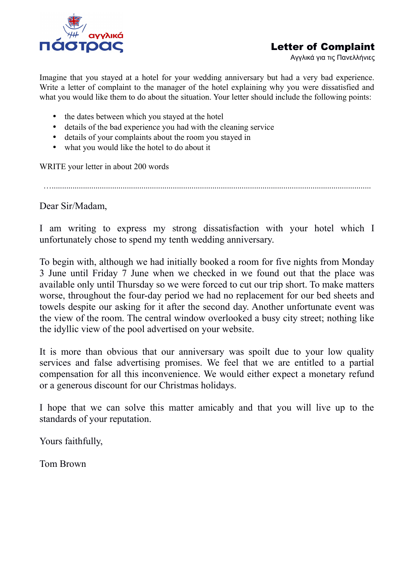

## Letter of Complaint

Αγγλικά για τις Πανελλήνιες

Imagine that you stayed at a hotel for your wedding anniversary but had a very bad experience. Write a letter of complaint to the manager of the hotel explaining why you were dissatisfied and what you would like them to do about the situation. Your letter should include the following points:

- the dates between which you stayed at the hotel
- details of the bad experience you had with the cleaning service
- details of your complaints about the room you stayed in
- what you would like the hotel to do about it

WRITE your letter in about 200 words

….........................................................................................................................................................

Dear Sir/Madam,

I am writing to express my strong dissatisfaction with your hotel which I unfortunately chose to spend my tenth wedding anniversary.

To begin with, although we had initially booked a room for five nights from Monday 3 June until Friday 7 June when we checked in we found out that the place was available only until Thursday so we were forced to cut our trip short. To make matters worse, throughout the four-day period we had no replacement for our bed sheets and towels despite our asking for it after the second day. Another unfortunate event was the view of the room. The central window overlooked a busy city street; nothing like the idyllic view of the pool advertised on your website.

It is more than obvious that our anniversary was spoilt due to your low quality services and false advertising promises. We feel that we are entitled to a partial compensation for all this inconvenience. We would either expect a monetary refund or a generous discount for our Christmas holidays.

I hope that we can solve this matter amicably and that you will live up to the standards of your reputation.

Yours faithfully,

Tom Brown